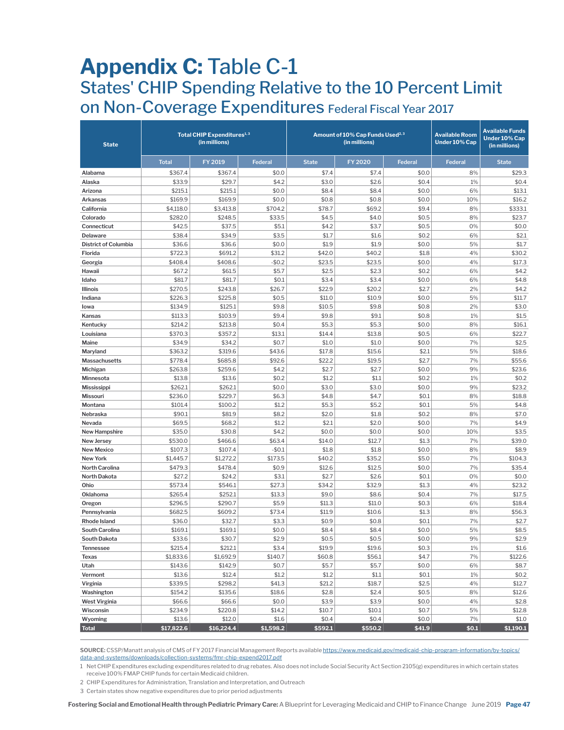## **Appendix C:** Table C-1 States' CHIP Spending Relative to the 10 Percent Limit on Non-Coverage Expenditures Federal Fiscal Year 2017

| <b>State</b>                        | Total CHIP Expenditures <sup>1,3</sup><br>(in millions) |                   |                 |                 | Amount of 10% Cap Funds Used <sup>2,3</sup><br>(in millions) | <b>Available Room</b><br>Under 10% Cap | <b>Available Funds</b><br><b>Under 10% Cap</b><br>(in millions) |                 |
|-------------------------------------|---------------------------------------------------------|-------------------|-----------------|-----------------|--------------------------------------------------------------|----------------------------------------|-----------------------------------------------------------------|-----------------|
|                                     | <b>Total</b>                                            | FY 2019           | <b>Federal</b>  | <b>State</b>    | <b>FY 2020</b>                                               | <b>Federal</b>                         | <b>Federal</b>                                                  | <b>State</b>    |
| Alabama                             | \$367.4                                                 | \$367.4           | \$0.0           | \$7.4           | \$7.4                                                        | \$0.0                                  | 8%                                                              | \$29.3          |
| Alaska                              | \$33.9                                                  | \$29.7            | \$4.2           | \$3.0           | \$2.6                                                        | \$0.4                                  | 1%                                                              | \$0.4           |
| Arizona                             | \$215.1                                                 | \$215.1           | \$0.0           | \$8.4           | \$8.4                                                        | \$0.0                                  | 6%                                                              | \$13.1          |
| Arkansas                            | \$169.9                                                 | \$169.9           | \$0.0           | \$0.8           | \$0.8                                                        | \$0.0                                  | 10%                                                             | \$16.2          |
| California                          | \$4,118.0                                               | \$3,413.8         | \$704.2         | \$78.7          | \$69.2                                                       | \$9.4                                  | 8%                                                              | \$333.1         |
| Colorado                            | \$282.0                                                 | \$248.5           | \$33.5          | \$4.5           | \$4.0                                                        | \$0.5                                  | 8%                                                              | \$23.7          |
| Connecticut                         | \$42.5                                                  | \$37.5            | \$5.1           | \$4.2           | \$3.7                                                        | \$0.5                                  | 0%                                                              | \$0.0           |
| Delaware                            | \$38.4                                                  | \$34.9            | \$3.5           | \$1.7           | \$1.6                                                        | \$0.2                                  | 6%                                                              | \$2.1           |
| <b>District of Columbia</b>         | \$36.6                                                  | \$36.6            | \$0.0           | \$1.9           | \$1.9                                                        | \$0.0                                  | 5%                                                              | \$1.7           |
| Florida                             | \$722.3                                                 | \$691.2           | \$31.2          | \$42.0          | \$40.2                                                       | \$1.8                                  | 4%                                                              | \$30.2          |
| Georgia                             | \$408.4                                                 | \$408.6           | $-$0.2$         | \$23.5          | \$23.5                                                       | \$0.0                                  | 4%                                                              | \$17.3          |
| Hawaii                              | \$67.2                                                  | \$61.5            | \$5.7           | \$2.5           | \$2.3                                                        | \$0.2                                  | 6%                                                              | \$4.2           |
| Idaho                               | \$81.7                                                  | \$81.7            | \$0.1           | \$3.4           | \$3.4                                                        | \$0.0                                  | 6%                                                              | \$4.8           |
| Illinois                            | \$270.5                                                 | \$243.8           | \$26.7          | \$22.9          | \$20.2                                                       | \$2.7                                  | 2%                                                              | \$4.2           |
| Indiana                             | \$226.3                                                 | \$225.8           | \$0.5           | \$11.0          | \$10.9                                                       | \$0.0                                  | 5%                                                              | \$11.7          |
| lowa                                | \$134.9                                                 | \$125.1           | \$9.8           | \$10.5          | \$9.8                                                        | \$0.8                                  | 2%                                                              | \$3.0           |
| Kansas                              | \$113.3                                                 | \$103.9           | \$9.4           | \$9.8           | \$9.1                                                        | \$0.8                                  | 1%                                                              | \$1.5           |
| Kentucky                            | \$214.2                                                 | \$213.8           | \$0.4           | \$5.3           | \$5.3                                                        | \$0.0                                  | 8%                                                              | \$16.1          |
| Louisiana                           | \$370.3                                                 | \$357.2           | \$13.1          | \$14.4          | \$13.8                                                       | \$0.5                                  | 6%                                                              | \$22.7          |
| Maine                               | \$34.9                                                  | \$34.2            | \$0.7           | \$1.0           | \$1.0                                                        | \$0.0                                  | 7%                                                              | \$2.5           |
| Maryland                            | \$363.2                                                 | \$319.6           | \$43.6          | \$17.8          | \$15.6                                                       | \$2.1                                  | 5%                                                              | \$18.6          |
| Massachusetts                       | \$778.4                                                 | \$685.8           | \$92.6          | \$22.2          | \$19.5                                                       | \$2.7                                  | 7%                                                              | \$55.6          |
| Michigan                            | \$263.8                                                 | \$259.6           | \$4.2           | \$2.7           | \$2.7                                                        | \$0.0                                  | 9%                                                              | \$23.6          |
| Minnesota                           | \$13.8                                                  | \$13.6            | \$0.2           | \$1.2           | \$1.1                                                        | \$0.2                                  | 1%                                                              | \$0.2           |
| <b>Mississippi</b>                  | \$262.1                                                 | \$262.1           | \$0.0           | \$3.0           | \$3.0                                                        | \$0.0                                  | 9%                                                              | \$23.2          |
| <b>Missouri</b>                     | \$236.0                                                 | \$229.7           | \$6.3           | \$4.8           | \$4.7                                                        | \$0.1                                  | 8%                                                              | \$18.8          |
| Montana                             | \$101.4                                                 | \$100.2           | \$1.2           | \$5.3           | \$5.2                                                        | \$0.1                                  | 5%                                                              | \$4.8           |
| Nebraska                            | \$90.1                                                  | \$81.9            | \$8.2           | \$2.0           | \$1.8                                                        | \$0.2                                  | 8%                                                              | \$7.0           |
| Nevada                              | \$69.5                                                  | \$68.2            | \$1.2           | \$2.1           | \$2.0                                                        | \$0.0                                  | 7%                                                              | \$4.9           |
| <b>New Hampshire</b>                | \$35.0                                                  | \$30.8            | \$4.2           | \$0.0           | \$0.0                                                        | \$0.0                                  | 10%                                                             | \$3.5           |
| New Jersey                          | \$530.0                                                 | \$466.6           | \$63.4          | \$14.0          | \$12.7                                                       | \$1.3                                  | 7%                                                              | \$39.0          |
| <b>New Mexico</b>                   | \$107.3                                                 | \$107.4           | $-$0.1$         | \$1.8           | \$1.8                                                        | \$0.0                                  | 8%                                                              | \$8.9           |
| New York                            | \$1,445.7                                               | \$1,272.2         | \$173.5         | \$40.2          | \$35.2                                                       | \$5.0                                  | 7%                                                              | \$104.3         |
| North Carolina                      | \$479.3                                                 | \$478.4           | \$0.9           | \$12.6          | \$12.5                                                       | \$0.0                                  | 7%                                                              | \$35.4          |
| North Dakota                        | \$27.2                                                  | \$24.2            | \$3.1           | \$2.7           | \$2.6                                                        | \$0.1                                  | 0%                                                              | \$0.0           |
| Ohio                                | \$573.4                                                 | \$546.1           | \$27.3          | \$34.2          | \$32.9                                                       | \$1.3                                  | 4%                                                              | \$23.2          |
| Oklahoma                            | \$265.4                                                 | \$252.1           | \$13.3<br>\$5.9 | \$9.0           | \$8.6                                                        | \$0.4                                  | 7%<br>6%                                                        | \$17.5          |
| Oregon                              | \$296.5                                                 | \$290.7           |                 | \$11.3          | \$11.0<br>\$10.6                                             | \$0.3                                  |                                                                 | \$18.4          |
| Pennsylvania<br><b>Rhode Island</b> | \$682.5                                                 | \$609.2<br>\$32.7 | \$73.4<br>\$3.3 | \$11.9<br>\$0.9 | \$0.8                                                        | \$1.3<br>\$0.1                         | 8%<br>7%                                                        | \$56.3<br>\$2.7 |
|                                     | \$36.0<br>\$169.1                                       | \$169.1           | \$0.0           | \$8.4           | \$8.4                                                        | \$0.0                                  | 5%                                                              | \$8.5           |
| South Carolina<br>South Dakota      | \$33.6                                                  | \$30.7            | \$2.9           | \$0.5           | \$0.5                                                        | \$0.0                                  | 9%                                                              | \$2.9           |
| Tennessee                           | \$215.4                                                 | \$212.1           | \$3.4           | \$19.9          | \$19.6                                                       | \$0.3                                  | 1%                                                              | \$1.6           |
|                                     | \$1,833.6                                               | \$1,692.9         | \$140.7         | \$60.8          | \$56.1                                                       | \$4.7                                  | 7%                                                              | \$122.6         |
| Texas<br>Utah                       | \$143.6                                                 | \$142.9           | \$0.7           | \$5.7           | \$5.7                                                        | \$0.0                                  | 6%                                                              | \$8.7           |
| Vermont                             | \$13.6                                                  | \$12.4            | \$1.2           | \$1.2           | \$1.1                                                        | \$0.1                                  | $1\%$                                                           | \$0.2           |
| Virginia                            | \$339.5                                                 | \$298.2           | \$41.3          | \$21.2          | \$18.7                                                       | \$2.5                                  | 4%                                                              | \$12.7          |
| Washington                          | \$154.2                                                 | \$135.6           | \$18.6          | \$2.8           | \$2.4                                                        | \$0.5                                  | 8%                                                              | \$12.6          |
| <b>West Virginia</b>                | \$66.6                                                  | \$66.6            | \$0.0           | \$3.9           | \$3.9                                                        | \$0.0                                  | 4%                                                              | \$2.8           |
| Wisconsin                           | \$234.9                                                 | \$220.8           | \$14.2          | \$10.7          | \$10.1                                                       | \$0.7                                  | 5%                                                              | \$12.8          |
| Wyoming                             | \$13.6                                                  | \$12.0            | \$1.6           | \$0.4           | \$0.4                                                        | \$0.0                                  | 7%                                                              | \$1.0           |
| <b>Total</b>                        | \$17,822.6                                              | \$16,224.4        | \$1,598.2       | \$592.1         | \$550.2                                                      | \$41.9                                 | \$0.1                                                           | \$1,190.1       |

**SOURCE:** CSSP/Manatt analysis of CMS of FY 2017 Financial Management Reports available [https://www.medicaid.gov/medicaid-chip-program-information/by-topics/](https://www.medicaid.gov/medicaid-chip-program-information/by-topics/data-and-systems/downloads/collection-systems/fmr-chip-expend2017.pdf) [data-and-systems/downloads/collection-systems/fmr-chip-expend2017.pdf](https://www.medicaid.gov/medicaid-chip-program-information/by-topics/data-and-systems/downloads/collection-systems/fmr-chip-expend2017.pdf)

1 Net CHIP Expenditures excluding expenditures related to drug rebates. Also does not include Social Security Act Section 2105(g) expenditures in which certain states receive 100% FMAP CHIP funds for certain Medicaid children.

2 CHIP Expenditures for Administration, Translation and Interpretation, and Outreach

3 Certain states show negative expenditures due to prior period adjustments

**Fostering Social and Emotional Health through Pediatric Primary Care:** A Blueprint for Leveraging Medicaid and CHIP to Finance ChangeJune 2019 **Page 47**